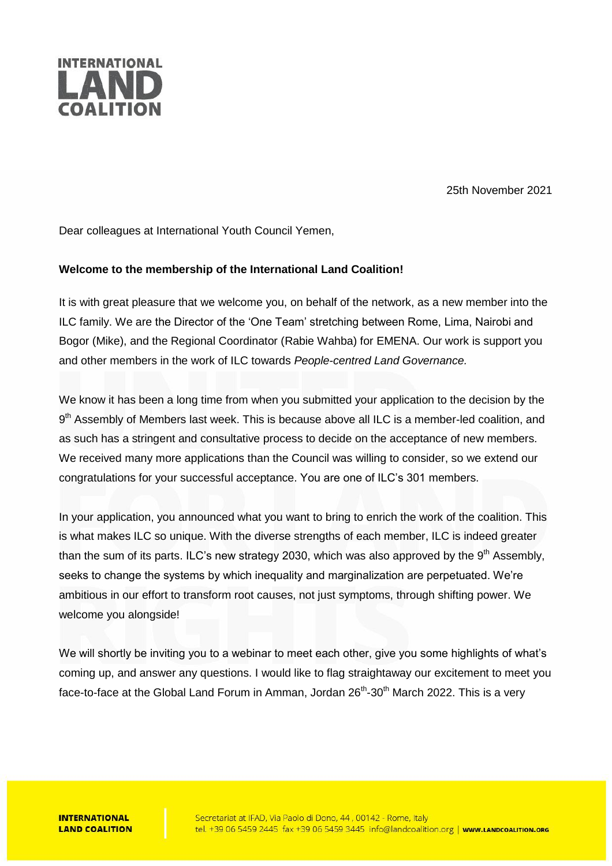

25th November 2021

Dear colleagues at International Youth Council Yemen,

## **Welcome to the membership of the International Land Coalition!**

It is with great pleasure that we welcome you, on behalf of the network, as a new member into the ILC family. We are the Director of the 'One Team' stretching between Rome, Lima, Nairobi and Bogor (Mike), and the Regional Coordinator (Rabie Wahba) for EMENA. Our work is support you and other members in the work of ILC towards *People-centred Land Governance.*

We know it has been a long time from when you submitted your application to the decision by the 9<sup>th</sup> Assembly of Members last week. This is because above all ILC is a member-led coalition, and as such has a stringent and consultative process to decide on the acceptance of new members. We received many more applications than the Council was willing to consider, so we extend our congratulations for your successful acceptance. You are one of ILC's 301 members.

In your application, you announced what you want to bring to enrich the work of the coalition. This is what makes ILC so unique. With the diverse strengths of each member, ILC is indeed greater than the sum of its parts. ILC's new strategy 2030, which was also approved by the  $9<sup>th</sup>$  Assembly, seeks to change the systems by which inequality and marginalization are perpetuated. We're ambitious in our effort to transform root causes, not just symptoms, through shifting power. We welcome you alongside!

We will shortly be inviting you to a webinar to meet each other, give you some highlights of what's coming up, and answer any questions. I would like to flag straightaway our excitement to meet you face-to-face at the Global Land Forum in Amman, Jordan 26<sup>th</sup>-30<sup>th</sup> March 2022. This is a very